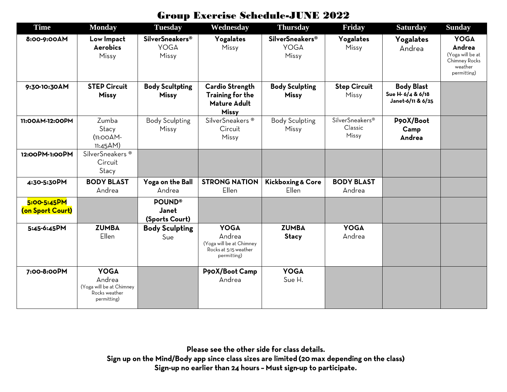## Group Exercise Schedule -JUNE 202 2

| <b>Time</b>                     | <b>Monday</b>                                                                     | <b>Tuesday</b>                                 | Wednesday                                                                                 | <b>Thursday</b>                                           | <b>Friday</b>                                   | <b>Saturday</b>                                             | <b>Sunday</b>                                                                        |
|---------------------------------|-----------------------------------------------------------------------------------|------------------------------------------------|-------------------------------------------------------------------------------------------|-----------------------------------------------------------|-------------------------------------------------|-------------------------------------------------------------|--------------------------------------------------------------------------------------|
| 8:00-9:00AM                     | Low Impact<br><b>Aerobics</b><br>Missy                                            | <b>SilverSneakers®</b><br><b>YOGA</b><br>Missy | Yogalates<br>Missy                                                                        | <b>SilverSneakers<sup>®</sup></b><br><b>YOGA</b><br>Missy | Yogalates<br>Missy                              | Yogalates<br>Andrea                                         | <b>YOGA</b><br>Andrea<br>(Yoga will be at<br>Chimney Rocks<br>weather<br>permitting) |
| 9:30-10:30AM                    | <b>STEP Circuit</b><br><b>Missy</b>                                               | <b>Body Scultpting</b><br><b>Missy</b>         | <b>Cardio Strength</b><br>Training for the<br><b>Mature Adult</b><br><b>Missy</b>         | <b>Body Sculpting</b><br><b>Missy</b>                     | <b>Step Circuit</b><br>Missy                    | <b>Body Blast</b><br>Sue H- 6/4 & 6/18<br>Janet-6/11 & 6/25 |                                                                                      |
| 11:00AM-12:00PM                 | Zumba<br>Stacy<br>$(11:OOAM-$<br>$11:45AM$ )                                      | <b>Body Sculpting</b><br>Missy                 | SilverSneakers <sup>®</sup><br>Circuit<br>Missy                                           | <b>Body Sculpting</b><br>Missy                            | SilverSneakers <sup>®</sup><br>Classic<br>Missy | P90X/Boot<br>Camp<br>Andrea                                 |                                                                                      |
| 12:00PM-1:00PM                  | SilverSneakers <sup>®</sup><br>Circuit<br>Stacy                                   |                                                |                                                                                           |                                                           |                                                 |                                                             |                                                                                      |
| 4:30-5:30PM                     | <b>BODY BLAST</b><br>Andrea                                                       | Yoga on the Ball<br>Andrea                     | <b>STRONG NATION</b><br><b>Ellen</b>                                                      | <b>Kickboxing &amp; Core</b><br>Ellen                     | <b>BODY BLAST</b><br>Andrea                     |                                                             |                                                                                      |
| 5:00-5:45PM<br>(on Sport Court) |                                                                                   | <b>POUND®</b><br>Janet<br>(Sports Court)       |                                                                                           |                                                           |                                                 |                                                             |                                                                                      |
| 5:45-6:45PM                     | <b>ZUMBA</b><br>Ellen                                                             | <b>Body Sculpting</b><br>Sue                   | <b>YOGA</b><br>Andrea<br>(Yoga will be at Chimney<br>Rocks at 5:15 weather<br>permitting) | <b>ZUMBA</b><br>Stacy                                     | <b>YOGA</b><br>Andrea                           |                                                             |                                                                                      |
| 7:00-8:00PM                     | <b>YOGA</b><br>Andrea<br>(Yoga will be at Chimney<br>Rocks weather<br>permitting) |                                                | P90X/Boot Camp<br>Andrea                                                                  | <b>YOGA</b><br>Sue H.                                     |                                                 |                                                             |                                                                                      |

Please see the other side for class details. Sign up on the Mind/Body app since class sizes are limited (20 max depending on the class) Sign-up no earlier than 24 hours - Must sign-up to participate.